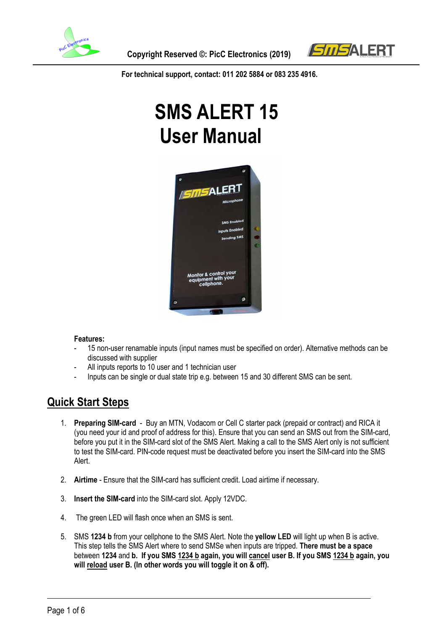

 **Copyright Reserved ©: PicC Electronics (2019)**



**For technical support, contact: 011 202 5884 or 083 235 4916.**

# **SMS ALERT 15 User Manual**



#### **Features:**

- 15 non-user renamable inputs (input names must be specified on order). Alternative methods can be discussed with supplier
- All inputs reports to 10 user and 1 technician user
- Inputs can be single or dual state trip e.g. between 15 and 30 different SMS can be sent.

### **Quick Start Steps**

- 1. **Preparing SIM-card** Buy an MTN, Vodacom or Cell C starter pack (prepaid or contract) and RICA it (you need your id and proof of address for this). Ensure that you can send an SMS out from the SIM-card, before you put it in the SIM-card slot of the SMS Alert. Making a call to the SMS Alert only is not sufficient to test the SIM-card. PIN-code request must be deactivated before you insert the SIM-card into the SMS Alert.
- 2. **Airtime** Ensure that the SIM-card has sufficient credit. Load airtime if necessary.
- 3. **Insert the SIM-card** into the SIM-card slot. Apply 12VDC.
- 4. The green LED will flash once when an SMS is sent.
- 5. SMS **1234 b** from your cellphone to the SMS Alert. Note the **yellow LED** will light up when B is active. This step tells the SMS Alert where to send SMSe when inputs are tripped. **There must be a space** between **1234** and **b. If you SMS 1234 b again, you will cancel user B. If you SMS 1234 b again, you will reload user B. (In other words you will toggle it on & off).**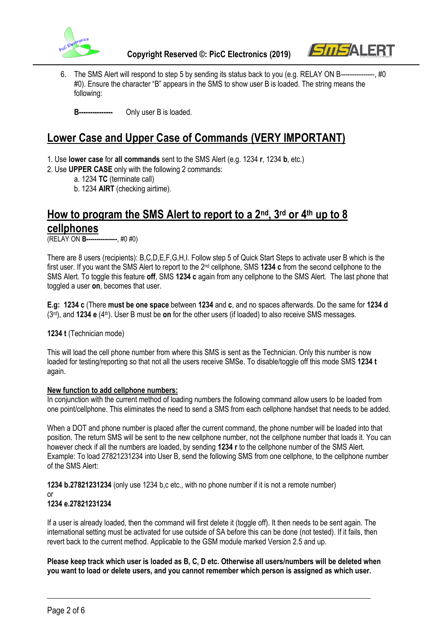



6. The SMS Alert will respond to step 5 by sending its status back to you (e.g. RELAY ON B---------------, #0 #0). Ensure the character "B" appears in the SMS to show user B is loaded. The string means the following:

**B---------------** Only user B is loaded.

### **Lower Case and Upper Case of Commands (VERY IMPORTANT)**

- 1. Use **lower case** for **all commands** sent to the SMS Alert (e.g. 1234 **r**, 1234 **b**, etc.)
- 2. Use **UPPER CASE** only with the following 2 commands:
	- a. 1234 **TC** (terminate call)

b. 1234 **AIRT** (checking airtime).

## **How to program the SMS Alert to report to a 2nd, 3rd or 4th up to 8 cellphones**

(RELAY ON **B---------------**, #0 #0)

There are 8 users (recipients): B,C,D,E,F,G,H,I. Follow step 5 of Quick Start Steps to activate user B which is the first user. If you want the SMS Alert to report to the 2nd cellphone, SMS **1234 c** from the second cellphone to the SMS Alert. To toggle this feature **off**, SMS **1234 c** again from any cellphone to the SMS Alert. The last phone that toggled a user **on**, becomes that user.

**E.g: 1234 c** (There **must be one space** between **1234** and **c**, and no spaces afterwards. Do the same for **1234 d**  (3rd), and **1234 e** (4th). User B must be **on** for the other users (if loaded) to also receive SMS messages.

**1234 t** (Technician mode)

This will load the cell phone number from where this SMS is sent as the Technician. Only this number is now loaded for testing/reporting so that not all the users receive SMSe. To disable/toggle off this mode SMS **1234 t** again.

#### **New function to add cellphone numbers:**

In conjunction with the current method of loading numbers the following command allow users to be loaded from one point/cellphone. This eliminates the need to send a SMS from each cellphone handset that needs to be added.

When a DOT and phone number is placed after the current command, the phone number will be loaded into that position. The return SMS will be sent to the new cellphone number, not the cellphone number that loads it. You can however check if all the numbers are loaded, by sending **1234 r** to the cellphone number of the SMS Alert. Example: To load 27821231234 into User B, send the following SMS from one cellphone, to the cellphone number of the SMS Alert:

**1234 b.27821231234** (only use 1234 b,c etc., with no phone number if it is not a remote number)

or

#### **1234 e.27821231234**

If a user is already loaded, then the command will first delete it (toggle off). It then needs to be sent again. The international setting must be activated for use outside of SA before this can be done (not tested). If it fails, then revert back to the current method. Applicable to the GSM module marked Version 2.5 and up.

**Please keep track which user is loaded as B, C, D etc. Otherwise all users/numbers will be deleted when you want to load or delete users, and you cannot remember which person is assigned as which user.**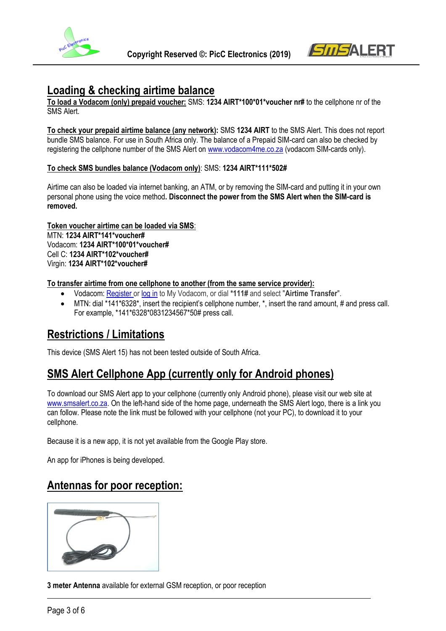



### **Loading & checking airtime balance**

**To load a Vodacom (only) prepaid voucher:** SMS: **1234 AIRT\*100\*01\*voucher nr#** to the cellphone nr of the SMS Alert.

**To check your prepaid airtime balance (any network):** SMS **1234 AIRT** to the SMS Alert. This does not report bundle SMS balance. For use in South Africa only. The balance of a Prepaid SIM-card can also be checked by registering the cellphone number of the SMS Alert o[n www.vodacom4me.co.za](http://www.vodacom4me.co.za/) (vodacom SIM-cards only).

#### **To check SMS bundles balance (Vodacom only)**: SMS: **1234 AIRT\*111\*502#**

Airtime can also be loaded via internet banking, an ATM, or by removing the SIM-card and putting it in your own personal phone using the voice method**. Disconnect the power from the SMS Alert when the SIM-card is removed.**

#### **Token voucher airtime can be loaded via SMS**:

MTN: **1234 AIRT\*141\*voucher#** Vodacom: **1234 AIRT\*100\*01\*voucher#** Cell C: **1234 AIRT\*102\*voucher#** Virgin: **1234 AIRT\*102\*voucher#**

#### **To transfer airtime from one cellphone to another (from the same service provider):**

- Vodacom: [Register or log in](https://www.vodacom.co.za/personal/myaccount/buybundles?INITIAL_STATE=INITIAL_STATE) to My Vodacom, or dial **\*111#** and select "**Airtime Transfer**".
- MTN: dial \*141\*6328\*, insert the recipient's cellphone number, \*, insert the rand amount, # and press call. For example, \*141\*6328\*0831234567\*50# press call.

### **Restrictions / Limitations**

This device (SMS Alert 15) has not been tested outside of South Africa.

### **SMS Alert Cellphone App (currently only for Android phones)**

To download our SMS Alert app to your cellphone (currently only Android phone), please visit our web site at [www.smsalert.co.za.](http://www.smsalert.co.za/) On the left-hand side of the home page, underneath the SMS Alert logo, there is a link you can follow. Please note the link must be followed with your cellphone (not your PC), to download it to your cellphone.

Because it is a new app, it is not yet available from the Google Play store.

An app for iPhones is being developed.

### **Antennas for poor reception:**



**3 meter Antenna** available for external GSM reception, or poor reception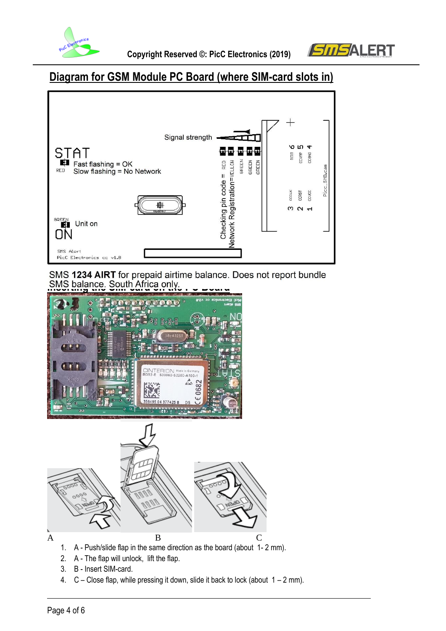



# **Diagram for GSM Module PC Board (where SIM-card slots in)**



SMS 1234 AIRT for prepaid airtime balance. Does not report bundle **ISMS** balance. South Africa only.





- 2. A The flap will unlock, lift the flap.
- 3. B Insert SIM-card.
- 4.  $C -$  Close flap, while pressing it down, slide it back to lock (about  $1 2$  mm).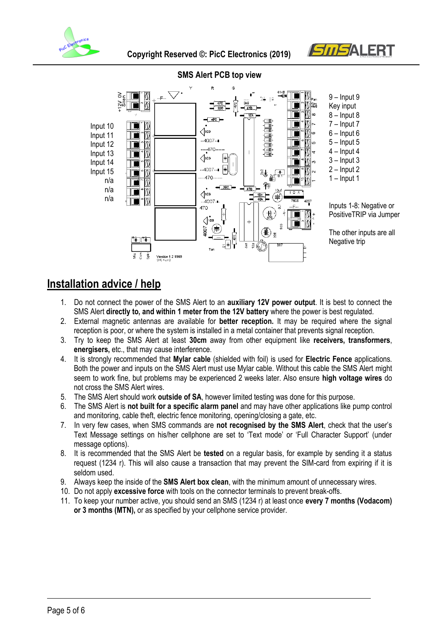





### **SMS Alert PCB top view**

### **Installation advice / help**

- 1. Do not connect the power of the SMS Alert to an **auxiliary 12V power output**. It is best to connect the SMS Alert **directly to, and within 1 meter from the 12V battery** where the power is best regulated.
- 2. External magnetic antennas are available for **better reception.** It may be required where the signal reception is poor, or where the system is installed in a metal container that prevents signal reception.
- 3. Try to keep the SMS Alert at least **30cm** away from other equipment like **receivers, transformers**, **energisers,** etc., that may cause interference.
- 4. It is strongly recommended that **Mylar cable** (shielded with foil) is used for **Electric Fence** applications. Both the power and inputs on the SMS Alert must use Mylar cable. Without this cable the SMS Alert might seem to work fine, but problems may be experienced 2 weeks later. Also ensure **high voltage wires** do not cross the SMS Alert wires.
- 5. The SMS Alert should work **outside of SA**, however limited testing was done for this purpose.
- 6. The SMS Alert is **not built for a specific alarm panel** and may have other applications like pump control and monitoring, cable theft, electric fence monitoring, opening/closing a gate, etc.
- 7. In very few cases, when SMS commands are **not recognised by the SMS Alert**, check that the user's Text Message settings on his/her cellphone are set to 'Text mode' or 'Full Character Support' (under message options).
- 8. It is recommended that the SMS Alert be **tested** on a regular basis, for example by sending it a status request (1234 r). This will also cause a transaction that may prevent the SIM-card from expiring if it is seldom used.
- 9. Always keep the inside of the **SMS Alert box clean**, with the minimum amount of unnecessary wires.
- 10. Do not apply **excessive force** with tools on the connector terminals to prevent break-offs.
- 11. To keep your number active, you should send an SMS (1234 r) at least once **every 7 months (Vodacom) or 3 months (MTN),** or as specified by your cellphone service provider.